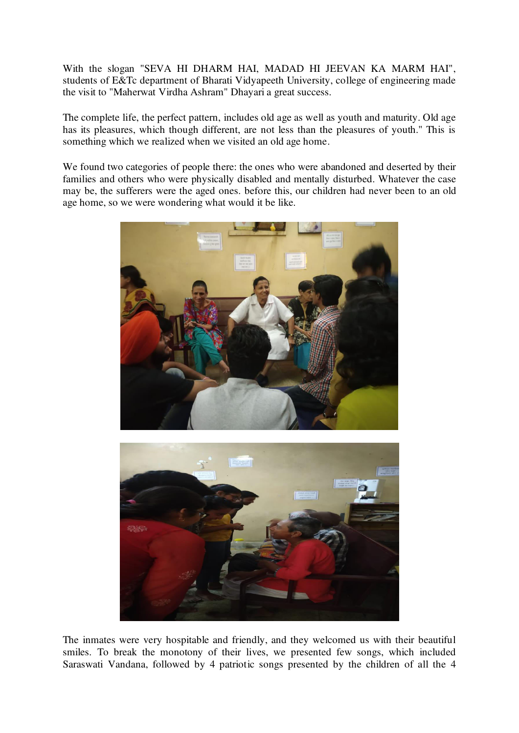With the slogan "SEVA HI DHARM HAI, MADAD HI JEEVAN KA MARM HAI", students of E&Tc department of Bharati Vidyapeeth University, college of engineering made the visit to "Maherwat Virdha Ashram" Dhayari a great success.

The complete life, the perfect pattern, includes old age as well as youth and maturity. Old age has its pleasures, which though different, are not less than the pleasures of youth." This is something which we realized when we visited an old age home.

We found two categories of people there: the ones who were abandoned and deserted by their families and others who were physically disabled and mentally disturbed. Whatever the case may be, the sufferers were the aged ones. before this, our children had never been to an old age home, so we were wondering what would it be like.





The inmates were very hospitable and friendly, and they welcomed us with their beautiful smiles. To break the monotony of their lives, we presented few songs, which included Saraswati Vandana, followed by 4 patriotic songs presented by the children of all the 4